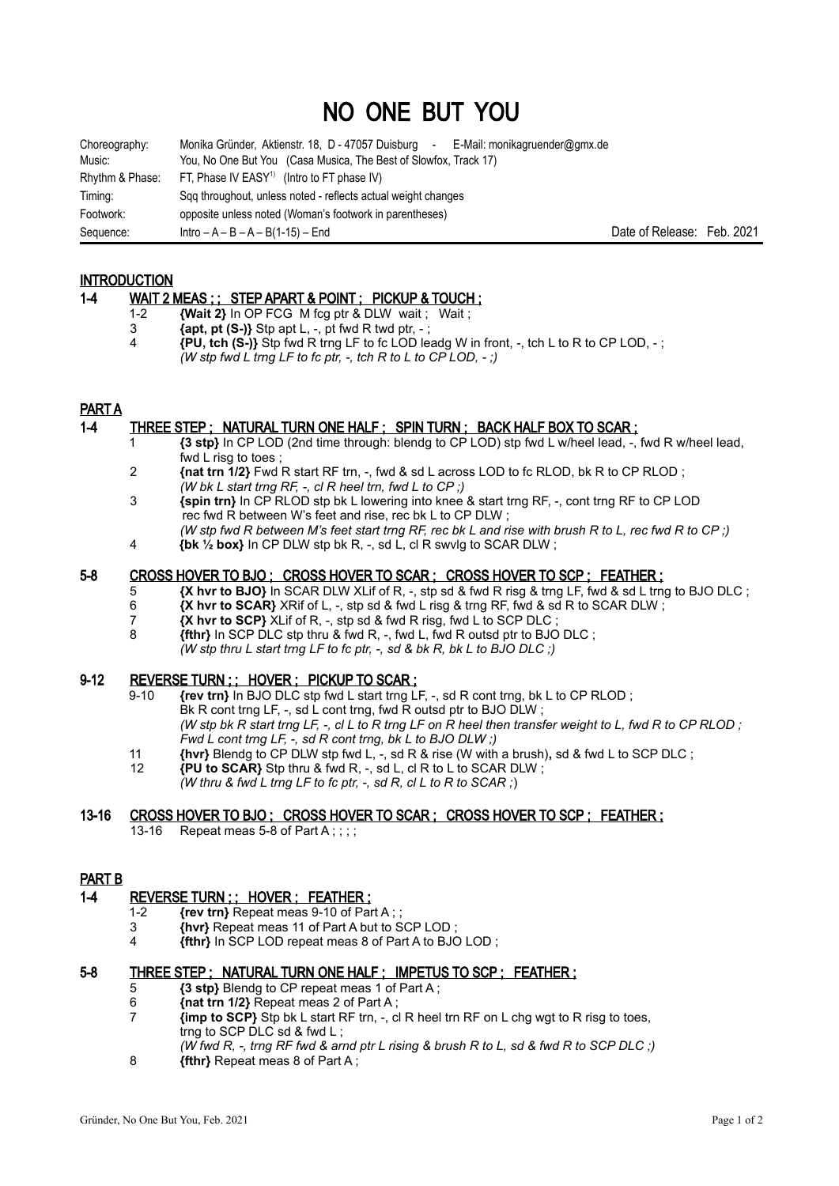# NO ONE BUT YOU

| Choreography:   | Monika Gründer, Aktienstr. 18, D - 47057 Duisburg - E-Mail: monikagruender@gmx.de |         |
|-----------------|-----------------------------------------------------------------------------------|---------|
| Music:          | You, No One But You (Casa Musica, The Best of Slowfox, Track 17)                  |         |
| Rhythm & Phase: | FT, Phase IV EASY <sup>1)</sup> (Intro to FT phase IV)                            |         |
| Timing:         | Sqq throughout, unless noted - reflects actual weight changes                     |         |
| Footwork:       | opposite unless noted (Woman's footwork in parentheses)                           |         |
| Sequence:       | $Intro - A - B - A - B(1-15) - End$                                               | Date of |

Release: Feb. 2021

# **INTRODUCTION**

- 1-4 WAIT 2 MEAS ; ; STEP APART & POINT ; PICKUP & TOUCH;
	- 1-2 **{Wait 2}** In OP FCG M fcg ptr & DLW wait ; Wait ;
	- $\{apt, pt, (S-) \}$  Stp apt L, -, pt fwd R twd ptr, -;
	- 4 **{PU, tch (S-)}** Stp fwd R trng LF to fc LOD leadg W in front, -, tch L to R to CP LOD, ; *(W stp fwd L trng LF to fc ptr, -, tch R to L to CP LOD, - ;)*

# PART A

## 1-4 THREE STEP ; NATURAL TURN ONE HALF ; SPIN TURN ; BACK HALF BOX TO SCAR ;

- 1 **{3 stp}** In CP LOD (2nd time through: blendg to CP LOD) stp fwd L w/heel lead, -, fwd R w/heel lead, fwd L risg to toes ;
- 2 **{nat trn 1/2}** Fwd R start RF trn, -, fwd & sd L across LOD to fc RLOD, bk R to CP RLOD ; *(W bk L start trng RF, -, cl R heel trn, fwd L to CP ;)*
- 3 **{spin trn}** In CP RLOD stp bk L lowering into knee & start trng RF, -, cont trng RF to CP LOD rec fwd R between W's feet and rise, rec bk L to CP DLW ; *(W stp fwd R between M's feet start trng RF, rec bk L and rise with brush R to L, rec fwd R to CP ;)*
- 4 **{bk ½ box}** In CP DLW stp bk R, -, sd L, cl R swvlg to SCAR DLW ;

#### 5-8 CROSS HOVER TO BJO ; CROSS HOVER TO SCAR ; CROSS HOVER TO SCP ; FEATHER ;

- 5 **{X hvr to BJO}** In SCAR DLW XLif of R, -, stp sd & fwd R risg & trng LF, fwd & sd L trng to BJO DLC ;
- 6 **{X hvr to SCAR}** XRif of L, -, stp sd & fwd L risg & trng RF, fwd & sd R to SCAR DLW ;
- 7 **X hvr to SCP}**  $\overline{X}$ Lif of R, -, stp sd & fwd R risg, fwd L to SCP DLC ;<br>8 **ftthr** In SCP DLC stp thru & fwd R fwd L fwd R outsd ptr to BJO
	- 8 **{fthr}** In SCP DLC stp thru & fwd R, -, fwd L, fwd R outsd ptr to BJO DLC ; *(W stp thru L start trng LF to fc ptr, -, sd & bk R, bk L to BJO DLC ;)*

## 9-12 REVERSE TURN ; ; HOVER ; PICKUP TO SCAR ;

- 9-10 **{rev trn}** In BJO DLC stp fwd L start trng LF, -, sd R cont trng, bk L to CP RLOD ; Bk R cont trng LF, -, sd L cont trng, fwd R outsd ptr to BJO DLW ; *(W stp bk R start trng LF, -, cl L to R trng LF on R heel then transfer weight to L, fwd R to CP RLOD ; Fwd L cont trng LF, -, sd R cont trng, bk L to BJO DLW ;)*
- 11 **{hvr}** Blendg to CP DLW stp fwd L, -, sd R & rise (W with a brush)**,** sd & fwd L to SCP DLC ;
- 12 **{PU to SCAR}** Stp thru & fwd R, -, sd L, cl R to L to SCAR DLW ; *(W thru & fwd L trng LF to fc ptr, -, sd R, cl L to R to SCAR ;*)

# 13-16 CROSS HOVER TO BJO; CROSS HOVER TO SCAR; CROSS HOVER TO SCP; FEATHER;

13-16 Repeat meas 5-8 of Part A::::

# PART B

#### 1-4 REVERSE TURN ; ; HOVER ; FEATHER ;

- 1-2 **{rev trn}** Repeat meas 9-10 of Part A ; ;
- 3 **{hvr}** Repeat meas 11 of Part A but to SCP LOD ;
- 4 **{fthr}** In SCP LOD repeat meas 8 of Part A to BJO LOD ;

#### 5-8 THREE STEP ; NATURAL TURN ONE HALF ; IMPETUS TO SCP ; FEATHER ;

- 5 **{3 stp}** Blendg to CP repeat meas 1 of Part A;<br>6 *Inst trn 1/2\* Repeat meas 2 of Part A
- 6 **{nat trn 1/2}** Repeat meas 2 of Part A ;
- 7 **{imp to SCP}** Stp bk L start RF trn, -, cl R heel trn RF on L chg wgt to R risg to toes, trng to SCP DLC sd & fwd L ;
	- *(W fwd R, -, trng RF fwd & arnd ptr L rising & brush R to L, sd & fwd R to SCP DLC ;)*
- 8 **{fthr}** Repeat meas 8 of Part A ;